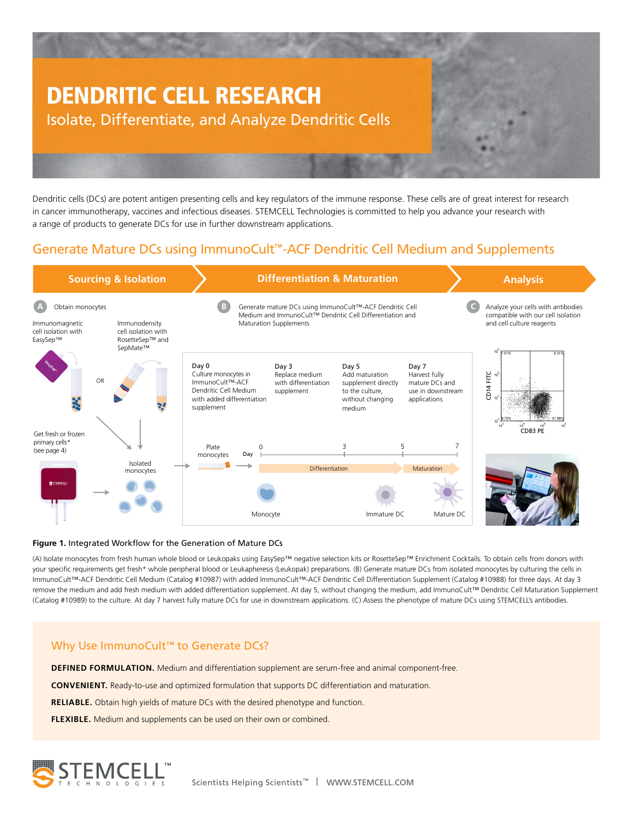

Dendritic cells (DCs) are potent antigen presenting cells and key regulators of the immune response. These cells are of great interest for research in cancer immunotherapy, vaccines and infectious diseases. STEMCELL Technologies is committed to help you advance your research with a range of products to generate DCs for use in further downstream applications.

## Generate Mature DCs using ImmunoCult™-ACF Dendritic Cell Medium and Supplements



#### **Figure 1.** Integrated Workflow for the Generation of Mature DCs

(A) Isolate monocytes from fresh human whole blood or Leukopaks using EasySep™ negative selection kits or RosetteSep™ Enrichment Cocktails. To obtain cells from donors with your specific requirements get fresh\* whole peripheral blood or Leukapheresis (Leukopak) preparations. (B) Generate mature DCs from isolated monocytes by culturing the cells in ImmunoCult™-ACF Dendritic Cell Medium (Catalog #10987) with added ImmunoCult™-ACF Dendritic Cell Differentiation Supplement (Catalog #10988) for three days. At day 3 remove the medium and add fresh medium with added differentiation supplement. At day 5, without changing the medium, add ImmunoCult™ Dendritic Cell Maturation Supplement (Catalog #10989) to the culture. At day 7 harvest fully mature DCs for use in downstream applications. (C) Assess the phenotype of mature DCs using STEMCELL's antibodies.

#### Why Use ImmunoCult™ to Generate DCs?

**DEFINED FORMULATION.** Medium and differentiation supplement are serum-free and animal component-free.

**CONVENIENT.** Ready-to-use and optimized formulation that supports DC differentiation and maturation.

**RELIABLE.** Obtain high yields of mature DCs with the desired phenotype and function.

**FLEXIBLE.** Medium and supplements can be used on their own or combined.

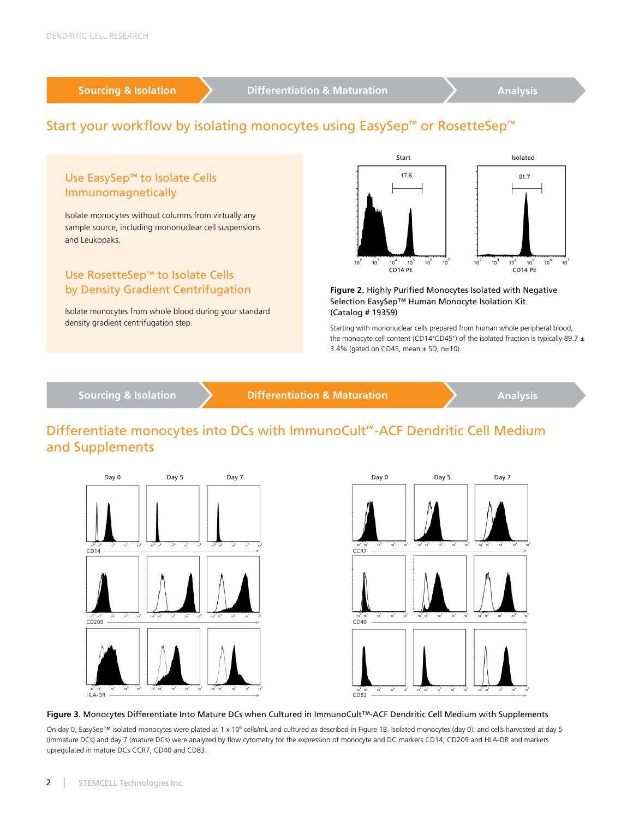## Start your workflow by isolating monocytes using EasySep<sup>™</sup> or RosetteSep<sup>™</sup>



## Differentiate monocytes into DCs with ImmunoCult™-ACF Dendritic Cell Medium and Supplements





#### **Figure 3**. Monocytes Differentiate Into Mature DCs when Cultured in ImmunoCult™-ACF Dendritic Cell Medium with Supplements

On day 0, EasySep™ isolated monocytes were plated at 1 x 10<sup>6</sup> cells/mL and cultured as described in Figure 1B. Isolated monocytes (day 0), and cells harvested at day 5 (immature DCs) and day 7 (mature DCs) were analyzed by flow cytometry for the expression of monocyte and DC markers CD14, CD209 and HLA-DR and markers upregulated in mature DCs CCR7, CD40 and CD83.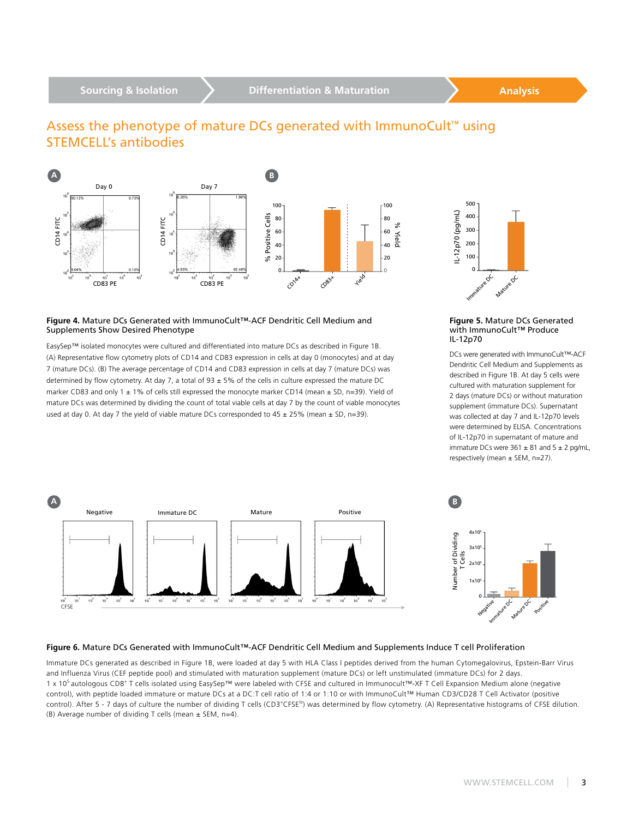### Assess the phenotype of mature DCs generated with ImmunoCult<sup>™</sup> using STEMCELL's antibodies



#### **Figure 4.** Mature DCs Generated with ImmunoCult™-ACF Dendritic Cell Medium and Supplements Show Desired Phenotype

EasySep™ isolated monocytes were cultured and differentiated into mature DCs as described in Figure 1B. (A) Representative flow cytometry plots of CD14 and CD83 expression in cells at day 0 (monocytes) and at day 7 (mature DCs). (B) The average percentage of CD14 and CD83 expression in cells at day 7 (mature DCs) was determined by flow cytometry. At day 7, a total of 93 ± 5% of the cells in culture expressed the mature DC marker CD83 and only 1 ± 1% of cells still expressed the monocyte marker CD14 (mean ± SD, n=39). Yield of mature DCs was determined by dividing the count of total viable cells at day 7 by the count of viable monocytes used at day 0. At day 7 the yield of viable mature DCs corresponded to  $45 \pm 25\%$  (mean  $\pm$  SD, n=39).



#### **Figure 5.** Mature DCs Generated with ImmunoCult™ Produce IL-12p70

DCs were generated with ImmunoCult™-ACF Dendritic Cell Medium and Supplements as described in Figure 1B. At day 5 cells were cultured with maturation supplement for 2 days (mature DCs) or without maturation supplement (immature DCs). Supernatant was collected at day 7 and IL-12p70 levels were determined by ELISA. Concentrations of IL-12p70 in supernatant of mature and immature DCs were  $361 \pm 81$  and  $5 \pm 2$  pg/mL, respectively (mean ± SEM, n=27).



#### **Figure 6.** Mature DCs Generated with ImmunoCult™-ACF Dendritic Cell Medium and Supplements Induce T cell Proliferation

Immature DCs generated as described in Figure 1B, were loaded at day 5 with HLA Class I peptides derived from the human Cytomegalovirus, Epstein-Barr Virus and Influenza Virus (CEF peptide pool) and stimulated with maturation supplement (mature DCs) or left unstimulated (immature DCs) for 2 days. 1 x 10<sup>5</sup> autologous CD8<sup>+</sup> T cells isolated using EasySep™ were labeled with CFSE and cultured in Immunocult™-XF T Cell Expansion Medium alone (negative control), with peptide loaded immature or mature DCs at a DC:T cell ratio of 1:4 or 1:10 or with ImmunoCult™ Human CD3/CD28 T Cell Activator (positive control). After 5 - 7 days of culture the number of dividing T cells (CD3<sup>+</sup>CFSE<sup>1</sup><sup>o</sup>) was determined by flow cytometry. (A) Representative histograms of CFSE dilution. (B) Average number of dividing T cells (mean  $\pm$  SEM, n=4).